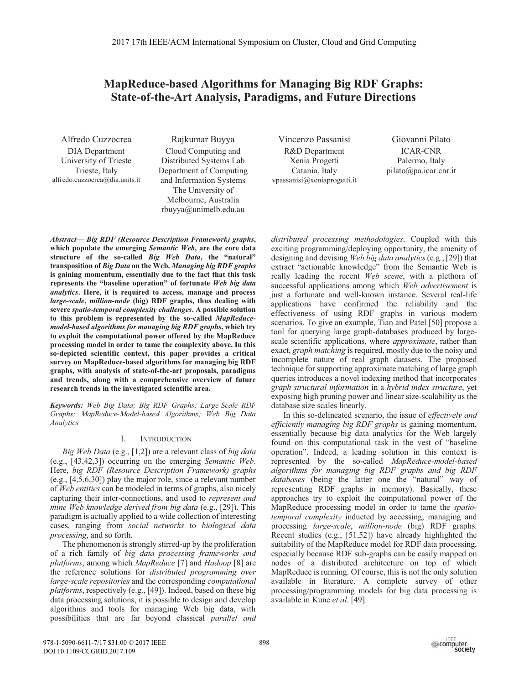# **MapReduce-based Algorithms for Managing Big RDF Graphs: State-of-the-Art Analysis, Paradigms, and Future Directions**

Alfredo Cuzzocrea

**DIA** Department University of Trieste Trieste, Italy alfredo.cuzzocrea@dia.units.it

Rajkumar Buyya Cloud Computing and Distributed Systems Lab Department of Computing and Information Systems The University of Melbourne, Australia rbuyya@unimelb.edu.au

Vincenzo Passanisi R&D Department Xenia Progetti Catania, Italy vpassanisi@xeniaprogetti.it

Giovanni Pilato **ICAR-CNR** Palermo, Italy  $pilato@pa.icar.cnr.it$ 

**Abstract— Big RDF (Resource Description Framework) graphs,** which populate the emerging Semantic Web, are the core data structure of the so-called Big Web Data, the "natural" transposition of Big Data on the Web. Managing big RDF graphs is gaining momentum, essentially due to the fact that this task represents the "baseline operation" of fortunate Web big data *analytics*. Here, it is required to access, manage and process large-scale, million-node (big) RDF graphs, thus dealing with severe spatio-temporal complexity challenges. A possible solution to this problem is represented by the so-called MapReducemodel-based algorithms for managing big RDF graphs, which try to exploit the computational power offered by the MapReduce processing model in order to tame the complexity above. In this so-depicted scientific context, this paper provides a critical survey on MapReduce-based algorithms for managing big RDF graphs, with analysis of state-of-the-art proposals, paradigms and trends, along with a comprehensive overview of future research trends in the investigated scientific area.

Keywords: Web Big Data; Big RDF Graphs; Large-Scale RDF Graphs; MapReduce-Model-based Algorithms; Web Big Data **Analytics** 

#### I. **INTRODUCTION**

Big Web Data (e.g., [1,2]) are a relevant class of big data (e.g.,  $[43,42,3]$ ) occurring on the emerging Semantic Web. Here, big RDF (Resource Description Framework) graphs (e.g.,  $[4,5,6,30]$ ) play the major role, since a relevant number of Web entities can be modeled in terms of graphs, also nicely capturing their inter-connections, and used to represent and mine Web knowledge derived from big data (e.g., [29]). This paradigm is actually applied to a wide collection of interesting cases, ranging from social networks to biological data *processing*, and so forth.

The phenomenon is strongly stirred-up by the proliferation of a rich family of big data processing frameworks and *platforms*, among which *MapReduce* [7] and *Hadoop* [8] are the reference solutions for *distributed programming over large-scale repositories* and the corresponding *computational platforms*, respectively (e.g., [49]). Indeed, based on these big data processing solutions, it is possible to design and develop algorithms and tools for managing Web big data, with possibilities that are far beyond classical parallel and distributed processing methodologies. Coupled with this exciting programming/deploying opportunity, the amenity of designing and devising Web big data analytics (e.g., [29]) that extract "actionable knowledge" from the Semantic Web is really leading the recent Web scene, with a plethora of successful applications among which Web advertisement is just a fortunate and well-known instance. Several real-life applications have confirmed the reliability and the effectiveness of using RDF graphs in various modern scenarios. To give an example, Tian and Patel [50] propose a tool for querying large graph-databases produced by largescale scientific applications, where *approximate*, rather than exact, graph matching is required, mostly due to the noisy and incomplete nature of real graph datasets. The proposed technique for supporting approximate matching of large graph queries introduces a novel indexing method that incorporates graph structural information in a hybrid index structure, yet exposing high pruning power and linear size-scalability as the database size scales linearly.

In this so-delineated scenario, the issue of *effectively and* efficiently managing big RDF graphs is gaining momentum, essentially because big data analytics for the Web largely found on this computational task in the vest of "baseline operation". Indeed, a leading solution in this context is represented by the so-called MapReduce-model-based algorithms for managing big RDF graphs and big RDF databases (being the latter one the "natural" way of representing RDF graphs in memory). Basically, these approaches try to exploit the computational power of the MapReduce processing model in order to tame the spatiotemporal complexity inducted by accessing, managing and processing large-scale, million-node (big) RDF graphs. Recent studies (e.g., [51,52]) have already highlighted the suitability of the MapReduce model for RDF data processing, especially because RDF sub-graphs can be easily mapped on nodes of a distributed architecture on top of which MapReduce is running. Of course, this is not the only solution available in literature. A complete survey of other processing/programming models for big data processing is available in Kune et al. [49].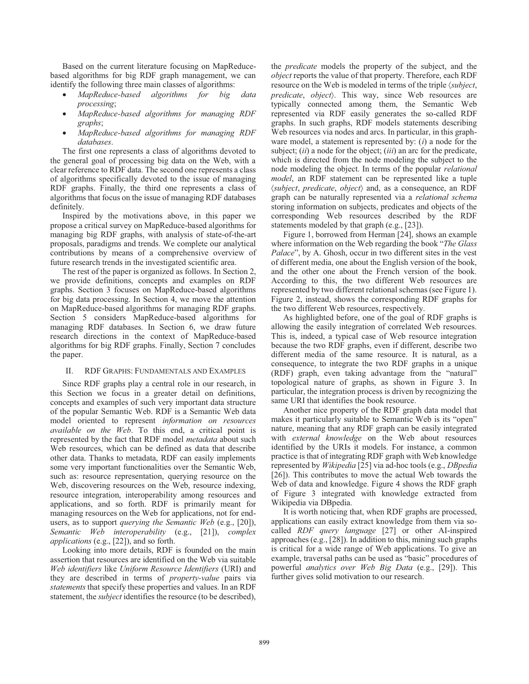Based on the current literature focusing on MapReducebased algorithms for big RDF graph management, we can identify the following three main classes of algorithms:

- MapReduce-based algorithms for big data processing;
- MapReduce-based algorithms for managing RDF graphs;
- MapReduce-based algorithms for managing RDF databases.

The first one represents a class of algorithms devoted to the general goal of processing big data on the Web, with a clear reference to RDF data. The second one represents a class of algorithms specifically devoted to the issue of managing RDF graphs. Finally, the third one represents a class of algorithms that focus on the issue of managing RDF databases definitely.

Inspired by the motivations above, in this paper we propose a critical survey on MapReduce-based algorithms for managing big RDF graphs, with analysis of state-of-the-art proposals, paradigms and trends. We complete our analytical contributions by means of a comprehensive overview of future research trends in the investigated scientific area.

The rest of the paper is organized as follows. In Section 2, we provide definitions, concepts and examples on RDF graphs. Section 3 focuses on MapReduce-based algorithms for big data processing. In Section 4, we move the attention on MapReduce-based algorithms for managing RDF graphs. Section 5 considers MapReduce-based algorithms for managing RDF databases. In Section 6, we draw future research directions in the context of MapReduce-based algorithms for big RDF graphs. Finally, Section 7 concludes the paper.

#### П. RDF GRAPHS: FUNDAMENTALS AND EXAMPLES

Since RDF graphs play a central role in our research, in this Section we focus in a greater detail on definitions, concepts and examples of such very important data structure of the popular Semantic Web. RDF is a Semantic Web data model oriented to represent information on resources *available on the Web*. To this end, a critical point is represented by the fact that RDF model *metadata* about such Web resources, which can be defined as data that describe other data. Thanks to metadata, RDF can easily implements some very important functionalities over the Semantic Web, such as: resource representation, querying resource on the Web, discovering resources on the Web, resource indexing, resource integration, interoperability among resources and applications, and so forth. RDF is primarily meant for managing resources on the Web for applications, not for endusers, as to support *querying the Semantic Web* (e.g., [20]), Semantic Web interoperability (e.g., [21]), complex applications (e.g., [22]), and so forth.

Looking into more details, RDF is founded on the main assertion that resources are identified on the Web via suitable Web identifiers like Uniform Resource Identifiers (URI) and they are described in terms of *property-value* pairs via statements that specify these properties and values. In an RDF statement, the *subject* identifies the resource (to be described),

the *predicate* models the property of the subject, and the object reports the value of that property. Therefore, each RDF resource on the Web is modeled in terms of the triple (subject, predicate, object). This way, since Web resources are typically connected among them, the Semantic Web represented via RDF easily generates the so-called RDF graphs. In such graphs, RDF models statements describing Web resources via nodes and arcs. In particular, in this graphware model, a statement is represented by:  $(i)$  a node for the subject;  $(ii)$  a node for the object;  $(iii)$  an arc for the predicate, which is directed from the node modeling the subject to the node modeling the object. In terms of the popular *relational* model, an RDF statement can be represented like a tuple (subject, predicate, object) and, as a consequence, an RDF graph can be naturally represented via a relational schema storing information on subjects, predicates and objects of the corresponding Web resources described by the RDF statements modeled by that graph (e.g., [23]).

Figure 1, borrowed from Herman [24], shows an example where information on the Web regarding the book "The Glass" Palace", by A. Ghosh, occur in two different sites in the vest of different media, one about the English version of the book, and the other one about the French version of the book. According to this, the two different Web resources are represented by two different relational schemas (see Figure 1). Figure 2, instead, shows the corresponding RDF graphs for the two different Web resources, respectively.

As highlighted before, one of the goal of RDF graphs is allowing the easily integration of correlated Web resources. This is, indeed, a typical case of Web resource integration because the two RDF graphs, even if different, describe two different media of the same resource. It is natural, as a consequence, to integrate the two RDF graphs in a unique (RDF) graph, even taking advantage from the "natural" topological nature of graphs, as shown in Figure 3. In particular, the integration process is driven by recognizing the same URI that identifies the book resource.

Another nice property of the RDF graph data model that makes it particularly suitable to Semantic Web is its "open" nature, meaning that any RDF graph can be easily integrated with external knowledge on the Web about resources identified by the URIs it models. For instance, a common practice is that of integrating RDF graph with Web knowledge represented by Wikipedia [25] via ad-hoc tools (e.g., DBpedia [26]). This contributes to move the actual Web towards the Web of data and knowledge. Figure 4 shows the RDF graph of Figure 3 integrated with knowledge extracted from Wikipedia via DBpedia.

It is worth noticing that, when RDF graphs are processed, applications can easily extract knowledge from them via socalled *RDF query language* [27] or other AI-inspired approaches  $(e.g., [28])$ . In addition to this, mining such graphs is critical for a wide range of Web applications. To give an example, traversal paths can be used as "basic" procedures of powerful *analytics over Web Big Data* (e.g., [29]). This further gives solid motivation to our research.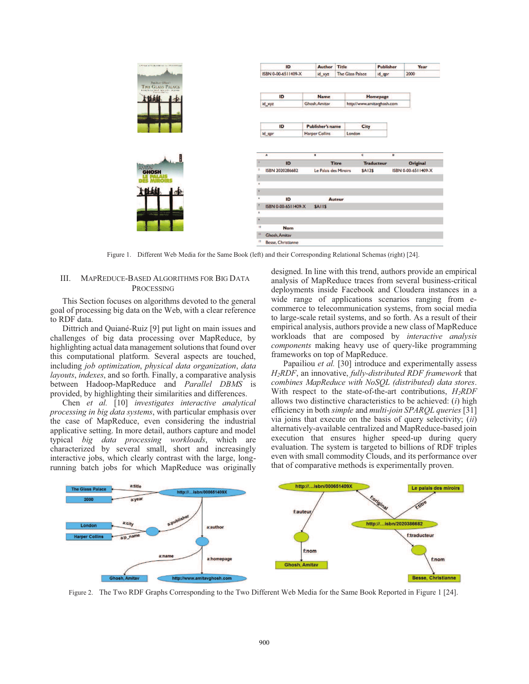

Figure 1. Different Web Media for the Same Book (left) and their Corresponding Relational Schemas (right) [24].

### III. **MAPREDUCE-BASED ALGORITHMS FOR BIG DATA PROCESSING**

This Section focuses on algorithms devoted to the general goal of processing big data on the Web, with a clear reference to RDF data.

Dittrich and Quiané-Ruiz [9] put light on main issues and challenges of big data processing over MapReduce, by highlighting actual data management solutions that found over this computational platform. Several aspects are touched, including job optimization, physical data organization, data layouts, indexes, and so forth. Finally, a comparative analysis between Hadoop-MapReduce and Parallel DBMS is provided, by highlighting their similarities and differences.

Chen et al. [10] investigates interactive analytical processing in big data systems, with particular emphasis over the case of MapReduce, even considering the industrial applicative setting. In more detail, authors capture and model typical big data processing workloads, which are characterized by several small, short and increasingly interactive jobs, which clearly contrast with the large, longrunning batch jobs for which MapReduce was originally designed. In line with this trend, authors provide an empirical analysis of MapReduce traces from several business-critical deployments inside Facebook and Cloudera instances in a wide range of applications scenarios ranging from ecommerce to telecommunication systems, from social media to large-scale retail systems, and so forth. As a result of their empirical analysis, authors provide a new class of MapReduce workloads that are composed by interactive analysis *components* making heavy use of query-like programming frameworks on top of MapReduce.

Papailiou et al. [30] introduce and experimentally assess  $H_2RDF$ , an innovative, *fully-distributed RDF framework* that combines MapReduce with NoSQL (distributed) data stores. With respect to the state-of-the-art contributions,  $H_2RDF$ allows two distinctive characteristics to be achieved:  $(i)$  high efficiency in both *simple* and *multi-join SPAROL queries* [31] via joins that execute on the basis of query selectivity;  $(ii)$ alternatively-available centralized and MapReduce-based join execution that ensures higher speed-up during query evaluation. The system is targeted to billions of RDF triples even with small commodity Clouds, and its performance over that of comparative methods is experimentally proven.



Figure 2. The Two RDF Graphs Corresponding to the Two Different Web Media for the Same Book Reported in Figure 1 [24].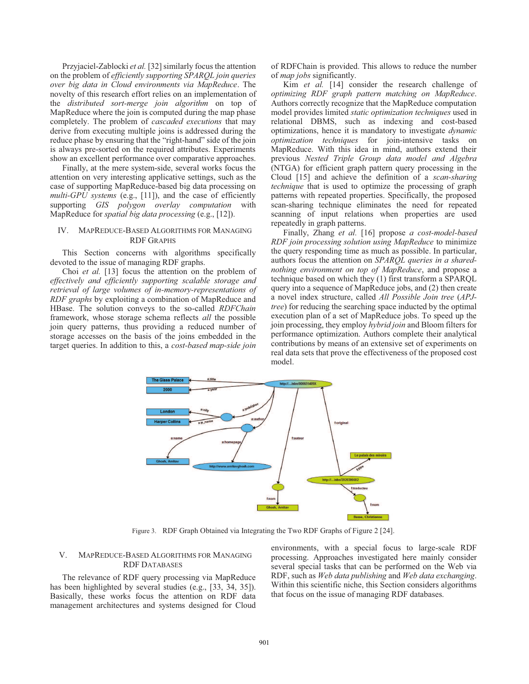Przyjąciel-Zablocki *et al.* [32] similarly focus the attention on the problem of *efficiently supporting SPAROL* join queries over big data in Cloud environments via MapReduce. The novelty of this research effort relies on an implementation of the distributed sort-merge join algorithm on top of MapReduce where the join is computed during the map phase completely. The problem of *cascaded executions* that may derive from executing multiple joins is addressed during the reduce phase by ensuring that the "right-hand" side of the join is always pre-sorted on the required attributes. Experiments show an excellent performance over comparative approaches.

Finally, at the mere system-side, several works focus the attention on very interesting applicative settings, such as the case of supporting MapReduce-based big data processing on *multi-GPU systems* (e.g., [11]), and the case of efficiently supporting GIS polygon overlay computation with MapReduce for spatial big data processing (e.g., [12]).

# IV. MAPREDUCE-BASED ALGORITHMS FOR MANAGING **RDF GRAPHS**

This Section concerns with algorithms specifically devoted to the issue of managing RDF graphs.

Choi et al. [13] focus the attention on the problem of effectively and efficiently supporting scalable storage and retrieval of large volumes of in-memory-representations of RDF graphs by exploiting a combination of MapReduce and HBase. The solution conveys to the so-called RDFChain framework, whose storage schema reflects all the possible join query patterns, thus providing a reduced number of storage accesses on the basis of the joins embedded in the target queries. In addition to this, a cost-based map-side join

of RDFChain is provided. This allows to reduce the number of *map jobs* significantly.

Kim et al. [14] consider the research challenge of optimizing RDF graph pattern matching on MapReduce. Authors correctly recognize that the MapReduce computation model provides limited *static optimization techniques* used in relational DBMS, such as indexing and cost-based optimizations, hence it is mandatory to investigate *dynamic* optimization techniques for join-intensive tasks on MapReduce. With this idea in mind, authors extend their previous Nested Triple Group data model and Algebra (NTGA) for efficient graph pattern query processing in the Cloud [15] and achieve the definition of a scan-sharing *technique* that is used to optimize the processing of graph patterns with repeated properties. Specifically, the proposed scan-sharing technique eliminates the need for repeated scanning of input relations when properties are used repeatedly in graph patterns.

Finally, Zhang et al. [16] propose a cost-model-based RDF join processing solution using MapReduce to minimize the query responding time as much as possible. In particular, authors focus the attention on SPARQL queries in a sharednothing environment on top of MapReduce, and propose a technique based on which they (1) first transform a SPARQL query into a sequence of MapReduce jobs, and (2) then create a novel index structure, called All Possible Join tree (APJ*tree*) for reducing the searching space inducted by the optimal execution plan of a set of MapReduce jobs. To speed up the join processing, they employ *hybrid join* and Bloom filters for performance optimization. Authors complete their analytical contributions by means of an extensive set of experiments on real data sets that prove the effectiveness of the proposed cost model.



Figure 3. RDF Graph Obtained via Integrating the Two RDF Graphs of Figure 2 [24].

### MAPREDUCE-BASED ALGORITHMS FOR MANAGING V. **RDF DATABASES**

The relevance of RDF query processing via MapReduce has been highlighted by several studies (e.g., [33, 34, 35]). Basically, these works focus the attention on RDF data management architectures and systems designed for Cloud

environments, with a special focus to large-scale RDF processing. Approaches investigated here mainly consider several special tasks that can be performed on the Web via RDF, such as Web data publishing and Web data exchanging. Within this scientific niche, this Section considers algorithms that focus on the issue of managing RDF databases.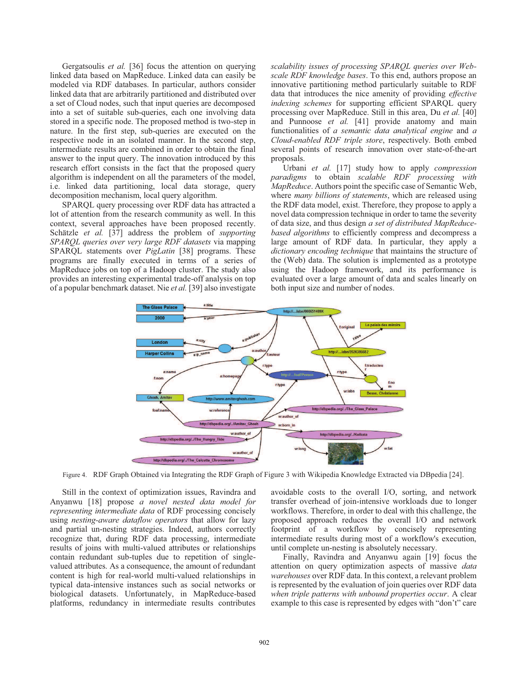Gergatsoulis et al. [36] focus the attention on querying linked data based on MapReduce. Linked data can easily be modeled via RDF databases. In particular, authors consider linked data that are arbitrarily partitioned and distributed over a set of Cloud nodes, such that input queries are decomposed into a set of suitable sub-queries, each one involving data stored in a specific node. The proposed method is two-step in nature. In the first step, sub-queries are executed on the respective node in an isolated manner. In the second step, intermediate results are combined in order to obtain the final answer to the input query. The innovation introduced by this research effort consists in the fact that the proposed query algorithm is independent on all the parameters of the model, i.e. linked data partitioning, local data storage, query decomposition mechanism, local query algorithm.

SPARQL query processing over RDF data has attracted a lot of attention from the research community as well. In this context, several approaches have been proposed recently. Schätzle et al. [37] address the problem of *supporting* SPARQL queries over very large RDF datasets via mapping SPARQL statements over *PigLatin* [38] programs. These programs are finally executed in terms of a series of MapReduce jobs on top of a Hadoop cluster. The study also provides an interesting experimental trade-off analysis on top of a popular benchmark dataset. Nie et al. [39] also investigate scalability issues of processing SPAROL queries over Webscale RDF knowledge bases. To this end, authors propose an innovative partitioning method particularly suitable to RDF data that introduces the nice amenity of providing effective indexing schemes for supporting efficient SPARQL query processing over MapReduce. Still in this area, Du et al. [40] and Punnoose et al. [41] provide anatomy and main functionalities of a semantic data analytical engine and a Cloud-enabled RDF triple store, respectively. Both embed several points of research innovation over state-of-the-art proposals.

Urbani et al. [17] study how to apply compression paradigms to obtain scalable RDF processing with *MapReduce.* Authors point the specific case of Semantic Web, where *many billions of statements*, which are released using the RDF data model, exist. Therefore, they propose to apply a novel data compression technique in order to tame the severity of data size, and thus design a set of distributed MapReducebased algorithms to efficiently compress and decompress a large amount of RDF data. In particular, they apply a dictionary encoding technique that maintains the structure of the (Web) data. The solution is implemented as a prototype using the Hadoop framework, and its performance is evaluated over a large amount of data and scales linearly on both input size and number of nodes.



Figure 4. RDF Graph Obtained via Integrating the RDF Graph of Figure 3 with Wikipedia Knowledge Extracted via DBpedia [24].

Still in the context of optimization issues, Ravindra and Anyanwu [18] propose a novel nested data model for representing intermediate data of RDF processing concisely using *nesting-aware dataflow operators* that allow for lazy and partial un-nesting strategies. Indeed, authors correctly recognize that, during RDF data processing, intermediate results of joins with multi-valued attributes or relationships contain redundant sub-tuples due to repetition of singlevalued attributes. As a consequence, the amount of redundant content is high for real-world multi-valued relationships in typical data-intensive instances such as social networks or biological datasets. Unfortunately, in MapReduce-based platforms, redundancy in intermediate results contributes

avoidable costs to the overall I/O, sorting, and network transfer overhead of join-intensive workloads due to longer workflows. Therefore, in order to deal with this challenge, the proposed approach reduces the overall I/O and network footprint of a workflow by concisely representing intermediate results during most of a workflow's execution, until complete un-nesting is absolutely necessary.

Finally, Ravindra and Anyanwu again [19] focus the attention on query optimization aspects of massive data warehouses over RDF data. In this context, a relevant problem is represented by the evaluation of join queries over RDF data when triple patterns with unbound properties occur. A clear example to this case is represented by edges with "don't" care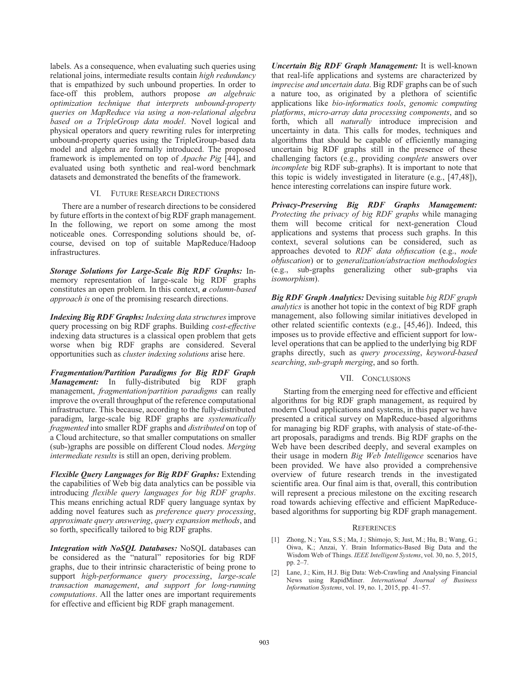labels. As a consequence, when evaluating such queries using relational joins, intermediate results contain high redundancy that is empathized by such unbound properties. In order to face-off this problem, authors propose an algebraic optimization technique that interprets unbound-property queries on MapReduce via using a non-relational algebra based on a TripleGroup data model. Novel logical and physical operators and query rewriting rules for interpreting unbound-property queries using the TripleGroup-based data model and algebra are formally introduced. The proposed framework is implemented on top of *Apache Pig* [44], and evaluated using both synthetic and real-word benchmark datasets and demonstrated the benefits of the framework.

#### VL. **FUTURE RESEARCH DIRECTIONS**

There are a number of research directions to be considered by future efforts in the context of big RDF graph management. In the following, we report on some among the most noticeable ones. Corresponding solutions should be, ofcourse, devised on top of suitable MapReduce/Hadoop infrastructures.

Storage Solutions for Large-Scale Big RDF Graphs: Inmemory representation of large-scale big RDF graphs constitutes an open problem. In this context, a column-based *approach is* one of the promising research directions.

**Indexing Big RDF Graphs:** Indexing data structures improve query processing on big RDF graphs. Building cost-effective indexing data structures is a classical open problem that gets worse when big RDF graphs are considered. Several opportunities such as *cluster indexing solutions* arise here.

**Fragmentation/Partition Paradigms for Big RDF Graph** *Management:* In fully-distributed big RDF graph management, *fragmentation/partition paradigms* can really improve the overall throughput of the reference computational infrastructure. This because, according to the fully-distributed paradigm, large-scale big RDF graphs are systematically *fragmented* into smaller RDF graphs and *distributed* on top of a Cloud architecture, so that smaller computations on smaller (sub-)graphs are possible on different Cloud nodes. Merging intermediate results is still an open, deriving problem.

Flexible Query Languages for Big RDF Graphs: Extending the capabilities of Web big data analytics can be possible via introducing *flexible query languages for big RDF graphs*. This means enriching actual RDF query language syntax by adding novel features such as preference query processing, approximate query answering, query expansion methods, and so forth, specifically tailored to big RDF graphs.

Integration with NoSQL Databases: NoSQL databases can be considered as the "natural" repositories for big RDF graphs, due to their intrinsic characteristic of being prone to support high-performance query processing, large-scale transaction management, and support for long-running *computations*. All the latter ones are important requirements for effective and efficient big RDF graph management.

**Uncertain Big RDF Graph Management:** It is well-known that real-life applications and systems are characterized by imprecise and uncertain data. Big RDF graphs can be of such a nature too, as originated by a plethora of scientific applications like bio-informatics tools, genomic computing platforms, micro-array data processing components, and so forth, which all *naturally* introduce imprecision and uncertainty in data. This calls for modes, techniques and algorithms that should be capable of efficiently managing uncertain big RDF graphs still in the presence of these challenging factors (e.g., providing *complete* answers over *incomplete* big RDF sub-graphs). It is important to note that this topic is widely investigated in literature (e.g., [47,48]), hence interesting correlations can inspire future work.

Privacy-Preserving Big RDF Graphs Management: Protecting the privacy of big RDF graphs while managing them will become critical for next-generation Cloud applications and systems that process such graphs. In this context, several solutions can be considered, such as approaches devoted to RDF data obfuscation (e.g., node obfuscation) or to generalization/abstraction methodologies (e.g., sub-graphs generalizing other sub-graphs via isomorphism).

**Big RDF Graph Analytics:** Devising suitable big RDF graph *analytics* is another hot topic in the context of big RDF graph management, also following similar initiatives developed in other related scientific contexts (e.g., [45,46]). Indeed, this imposes us to provide effective and efficient support for lowlevel operations that can be applied to the underlying big RDF graphs directly, such as *query processing*, *keyword-based* searching, sub-graph merging, and so forth.

## VII. CONCLUSIONS

Starting from the emerging need for effective and efficient algorithms for big RDF graph management, as required by modern Cloud applications and systems, in this paper we have presented a critical survey on MapReduce-based algorithms for managing big RDF graphs, with analysis of state-of-theart proposals, paradigms and trends. Big RDF graphs on the Web have been described deeply, and several examples on their usage in modern Big Web Intelligence scenarios have been provided. We have also provided a comprehensive overview of future research trends in the investigated scientific area. Our final aim is that, overall, this contribution will represent a precious milestone on the exciting research road towards achieving effective and efficient MapReducebased algorithms for supporting big RDF graph management.

# **REFERENCES**

- [1] Zhong, N.; Yau, S.S.; Ma, J.; Shimojo, S; Just, M.; Hu, B.; Wang, G.; Oiwa, K.; Anzai, Y. Brain Informatics-Based Big Data and the Wisdom Web of Things. IEEE Intelligent Systems, vol. 30, no. 5, 2015, pp. 2-7.
- [2] Lane, J.; Kim, H.J. Big Data: Web-Crawling and Analysing Financial News using RapidMiner. International Journal of Business Information Systems, vol. 19, no. 1, 2015, pp. 41-57.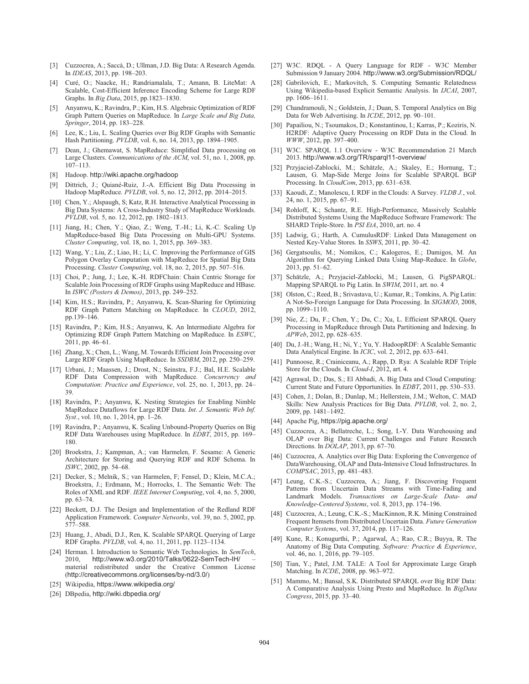- [3] Cuzzocrea, A.; Saccà, D.; Ullman, J.D. Big Data: A Research Agenda. In IDEAS, 2013, pp. 198-203.
- Curé, O.; Naacke, H.; Randriamalala, T.; Amann, B. LiteMat: A  $\lceil 4 \rceil$ Scalable, Cost-Efficient Inference Encoding Scheme for Large RDF Graphs. In Big Data, 2015, pp.1823-1830.
- [5] Anyanwu, K.; Ravindra, P.; Kim, H.S. Algebraic Optimization of RDF Graph Pattern Queries on MapReduce. In Large Scale and Big Data, Springer, 2014, pp. 183-228.
- Lee, K.; Liu, L. Scaling Queries over Big RDF Graphs with Semantic Hash Partitioning. PVLDB, vol. 6, no. 14, 2013, pp. 1894-1905.
- [7] Dean, J.; Ghemawat, S. MapReduce: Simplified Data processing on Large Clusters. Communications of the ACM, vol. 51, no. 1, 2008, pp.  $107 - 113$ .
- [8] Hadoop. http://wiki.apache.org/hadoop
- [9] Dittrich, J.; Quiané-Ruiz, J.-A. Efficient Big Data Processing in Hadoop MapReduce. PVLDB, vol. 5, no. 12, 2012, pp. 2014-2015.
- [10] Chen, Y.; Alspaugh, S; Katz, R.H. Interactive Analytical Processing in Big Data Systems: A Cross-Industry Study of MapReduce Workloads. PVLDB, vol. 5, no. 12, 2012, pp. 1802-1813.
- [11] Jiang, H.; Chen, Y.; Qiao, Z.; Weng, T.-H.; Li, K.-C. Scaling Up MapReduce-based Big Data Processing on Multi-GPU Systems. Cluster Computing, vol. 18, no. 1, 2015, pp. 369-383.
- [12] Wang, Y.; Liu, Z.; Liao, H.; Li, C. Improving the Performance of GIS Polygon Overlay Computation with MapReduce for Spatial Big Data Processing. Cluster Computing, vol. 18, no. 2, 2015, pp. 507-516.
- [13] Choi, P.; Jung, J.; Lee, K.-H. RDFChain: Chain Centric Storage for Scalable Join Processing of RDF Graphs using MapReduce and HBase. In ISWC (Posters & Demos), 2013, pp. 249-252.
- [14] Kim, H.S.; Ravindra, P.; Anyanwu, K. Scan-Sharing for Optimizing RDF Graph Pattern Matching on MapReduce. In CLOUD, 2012, pp.139-146.
- [15] Ravindra, P.; Kim, H.S.; Anyanwu, K. An Intermediate Algebra for Optimizing RDF Graph Pattern Matching on MapReduce. In ESWC,  $2011$ , pp. 46-61.
- [16] Zhang, X.; Chen, L.; Wang, M. Towards Efficient Join Processing over Large RDF Graph Using MapReduce. In SSDBM, 2012, pp. 250-259.
- [17] Urbani, J.; Maassen, J.; Drost, N.; Seinstra, F.J.; Bal, H.E. Scalable RDF Data Compression with MapReduce. Concurrency and Computation: Practice and Experience, vol. 25, no. 1, 2013, pp. 24-39
- [18] Ravindra, P.; Anyanwu, K. Nesting Strategies for Enabling Nimble MapReduce Dataflows for Large RDF Data. Int. J. Semantic Web Inf. Syst., vol. 10, no. 1, 2014, pp. 1-26.
- [19] Ravindra, P.; Anyanwu, K. Scaling Unbound-Property Queries on Big RDF Data Warehouses using MapReduce. In EDBT, 2015, pp. 169-180.
- [20] Broekstra, J.; Kampman, A.; van Harmelen, F. Sesame: A Generic Architecture for Storing and Querying RDF and RDF Schema. In ISWC, 2002, pp. 54-68.
- [21] Decker, S.; Melnik, S.; van Harmelen, F; Fensel, D.; Klein, M.C.A.; Broekstra, J.; Erdmann, M.; Horrocks, I.. The Semantic Web: The Roles of XML and RDF. IEEE Internet Computing, vol. 4, no. 5, 2000, pp. 63-74.
- [22] Beckett, D.J. The Design and Implementation of the Redland RDF Application Framework. Computer Networks, vol. 39, no. 5, 2002, pp. 577-588.
- [23] Huang, J., Abadi, D.J., Ren, K. Scalable SPARQL Querying of Large RDF Graphs. PVLDB, vol. 4, no. 11, 2011, pp. 1123-1134.
- [24] Herman. I. Introduction to Semantic Web Technologies. In SemTech, http://www.w3.org/2010/Talks/0622-SemTech-IH/ 2010 material redistributed under the Creative Common License (http://creativecommons.org/licenses/by-nd/3.0/)
- [25] Wikipedia, https://www.wikipedia.org/
- [26] DBpedia, http://wiki.dbpedia.org/
- [27] W3C. RDQL A Query Language for RDF W3C Member Submission 9 January 2004. http://www.w3.org/Submission/RDQL/
- [28] Gabrilovich, E.; Markovitch, S. Computing Semantic Relatedness Using Wikipedia-based Explicit Semantic Analysis. In IJCAI, 2007, pp. 1606-1611.
- [29] Chandramouli, N.; Goldstein, J.; Duan, S. Temporal Analytics on Big Data for Web Advertising. In ICDE, 2012, pp. 90-101.
- [30] Papailiou, N.; Tsoumakos, D.; Konstantinou, I.; Karras, P.; Koziris, N. H2RDF: Adaptive Query Processing on RDF Data in the Cloud. In WWW, 2012, pp. 397-400.
- [31] W3C. SPARQL 1.1 Overview W3C Recommendation 21 March 2013. http://www.w3.org/TR/sparql11-overview/
- [32] Przyjaciel-Zablocki, M.; Schätzle, A.; Skaley, E.; Hornung, T.; Lausen, G. Map-Side Merge Joins for Scalable SPARQL BGP Processing. In CloudCom, 2013, pp. 631–638.
- $\left[33\right]$ Kaoudi, Z.; Manolescu, I. RDF in the Clouds: A Survey. VLDB J., vol. 24, no. 1, 2015, pp. 67-91.
- [34] Rohloff, K.; Schantz, R.E. High-Performance, Massively Scalable Distributed Systems Using the MapReduce Software Framework: The SHARD Triple-Store. In PSI EtA, 2010, art. no. 4
- [35] Ladwig, G.; Harth, A. CumulusRDF: Linked Data Management on Nested Key-Value Stores. In SSWS, 2011, pp. 30-42.
- [36] Gergatsoulis, M.; Nomikos, C.; Kalogeros, E.; Damigos, M. An Algorithm for Querying Linked Data Using Map-Reduce. In Globe, 2013, pp. 51-62.
- [37] Schätzle, A.; Przyjaciel-Zablocki, M.; Lausen, G. PigSPARQL: Mapping SPARQL to Pig Latin. In SWIM, 2011, art. no. 4
- [38] Olston, C.; Reed, B.; Srivastava, U.; Kumar, R.; Tomkins, A. Pig Latin: A Not-So-Foreign Language for Data Processing. In SIGMOD, 2008, pp. 1099-1110.
- [39] Nie, Z.; Du, F.; Chen, Y.; Du, C.; Xu, L. Efficient SPARQL Query Processing in MapReduce through Data Partitioning and Indexing. In APWeb, 2012, pp. 628-635.
- [40] Du, J.-H.; Wang, H.; Ni, Y.; Yu, Y. HadoopRDF: A Scalable Semantic Data Analytical Engine. In ICIC, vol. 2, 2012, pp. 633-641.
- [41] Punnoose, R.; Crainiceanu, A.; Rapp, D. Rya: A Scalable RDF Triple Store for the Clouds. In Cloud-I, 2012, art. 4.
- [42] Agrawal, D.; Das, S.; El Abbadi, A. Big Data and Cloud Computing: Current State and Future Opportunities. In EDBT, 2011, pp. 530-533.
- [43] Cohen, J.; Dolan, B.; Dunlap, M.; Hellerstein, J.M.; Welton, C. MAD Skills: New Analysis Practices for Big Data. PVLDB, vol. 2, no. 2, 2009, pp. 1481-1492.
- [44] Apache Pig, https://pig.apache.org/
- [45] Cuzzocrea, A.; Bellatreche, L.; Song, I.-Y. Data Warehousing and OLAP over Big Data: Current Challenges and Future Research Directions. In DOLAP, 2013, pp. 67-70.
- [46] Cuzzocrea, A. Analytics over Big Data: Exploring the Convergence of DataWarehousing, OLAP and Data-Intensive Cloud Infrastructures. In COMPSAC, 2013, pp. 481-483.
- [47] Leung, C.K.-S.; Cuzzocrea, A.; Jiang, F. Discovering Frequent Patterns from Uncertain Data Streams with Time-Fading and Landmark Models. Transactions on Large-Scale Data- and Knowledge-Centered Systems, vol. 8, 2013, pp. 174-196.
- [48] Cuzzocrea, A.; Leung, C.K.-S.; MacKinnon, R.K. Mining Constrained Frequent Itemsets from Distributed Uncertain Data. Future Generation Computer Systems, vol. 37, 2014, pp. 117-126.
- Kune, R.; Konugurthi, P.; Agarwal, A.; Rao, C.R.; Buyya, R. The [49] Anatomy of Big Data Computing. Software: Practice & Experience, vol. 46, no. 1, 2016, pp. 79-105.
- [50] Tian, Y.; Patel, J.M. TALE: A Tool for Approximate Large Graph Matching. In ICDE, 2008, pp. 963-972.
- [51] Mammo, M.; Bansal, S.K. Distributed SPARQL over Big RDF Data: A Comparative Analysis Using Presto and MapReduce. In BigData Congress, 2015, pp. 33-40.